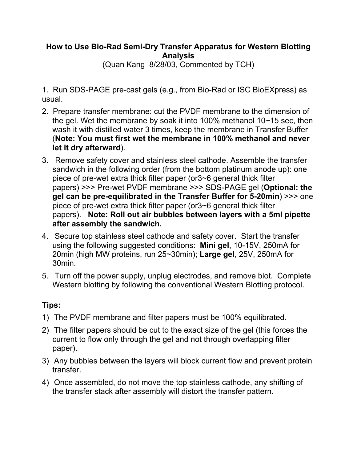## **How to Use Bio-Rad Semi-Dry Transfer Apparatus for Western Blotting Analysis**

(Quan Kang 8/28/03, Commented by TCH)

1. Run SDS-PAGE pre-cast gels (e.g., from Bio-Rad or ISC BioEXpress) as usual.

- 2. Prepare transfer membrane: cut the PVDF membrane to the dimension of the gel. Wet the membrane by soak it into 100% methanol 10~15 sec, then wash it with distilled water 3 times, keep the membrane in Transfer Buffer (**Note: You must first wet the membrane in 100% methanol and never let it dry afterward**).
- 3. Remove safety cover and stainless steel cathode. Assemble the transfer sandwich in the following order (from the bottom platinum anode up): one piece of pre-wet extra thick filter paper (or3~6 general thick filter papers) >>> Pre-wet PVDF membrane >>> SDS-PAGE gel (**Optional: the gel can be pre-equilibrated in the Transfer Buffer for 5-20min**) >>> one piece of pre-wet extra thick filter paper (or3~6 general thick filter papers). **Note: Roll out air bubbles between layers with a 5ml pipette after assembly the sandwich.**
- 4. Secure top stainless steel cathode and safety cover. Start the transfer using the following suggested conditions: **Mini gel**, 10-15V, 250mA for 20min (high MW proteins, run 25~30min); **Large gel**, 25V, 250mA for 30min.
- 5. Turn off the power supply, unplug electrodes, and remove blot. Complete Western blotting by following the conventional Western Blotting protocol.

## **Tips:**

- 1) The PVDF membrane and filter papers must be 100% equilibrated.
- 2) The filter papers should be cut to the exact size of the gel (this forces the current to flow only through the gel and not through overlapping filter paper).
- 3) Any bubbles between the layers will block current flow and prevent protein transfer.
- 4) Once assembled, do not move the top stainless cathode, any shifting of the transfer stack after assembly will distort the transfer pattern.